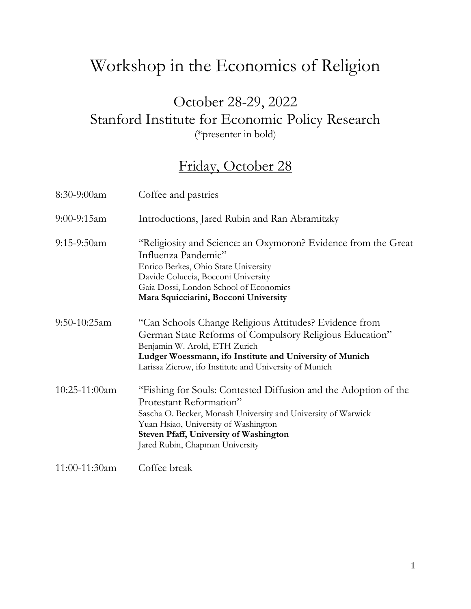## Workshop in the Economics of Religion

#### October 28-29, 2022 Stanford Institute for Economic Policy Research (\*presenter in bold)

#### Friday, October 28

| 8:30-9:00am      | Coffee and pastries                                                                                                                                                                                                                                                                     |
|------------------|-----------------------------------------------------------------------------------------------------------------------------------------------------------------------------------------------------------------------------------------------------------------------------------------|
| $9:00 - 9:15$ am | Introductions, Jared Rubin and Ran Abramitzky                                                                                                                                                                                                                                           |
| $9:15-9:50am$    | "Religiosity and Science: an Oxymoron? Evidence from the Great<br>Influenza Pandemic"<br>Enrico Berkes, Ohio State University<br>Davide Coluccia, Bocconi University<br>Gaia Dossi, London School of Economics<br>Mara Squicciarini, Bocconi University                                 |
| $9:50-10:25am$   | "Can Schools Change Religious Attitudes? Evidence from<br>German State Reforms of Compulsory Religious Education"<br>Benjamin W. Arold, ETH Zurich<br>Ludger Woessmann, ifo Institute and University of Munich<br>Larissa Zierow, ifo Institute and University of Munich                |
| 10:25-11:00am    | "Fishing for Souls: Contested Diffusion and the Adoption of the<br>Protestant Reformation"<br>Sascha O. Becker, Monash University and University of Warwick<br>Yuan Hsiao, University of Washington<br><b>Steven Pfaff, University of Washington</b><br>Jared Rubin, Chapman University |
| 11:00-11:30am    | Coffee break                                                                                                                                                                                                                                                                            |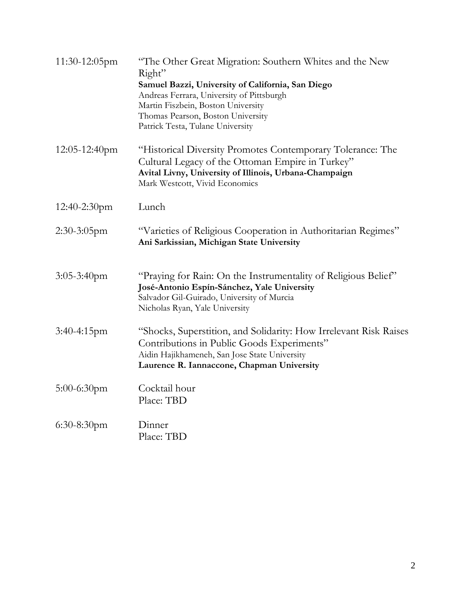| 11:30-12:05pm    | "The Other Great Migration: Southern Whites and the New<br>Right"<br>Samuel Bazzi, University of California, San Diego<br>Andreas Ferrara, University of Pittsburgh<br>Martin Fiszbein, Boston University<br>Thomas Pearson, Boston University<br>Patrick Testa, Tulane University |
|------------------|------------------------------------------------------------------------------------------------------------------------------------------------------------------------------------------------------------------------------------------------------------------------------------|
| $12:05-12:40$ pm | "Historical Diversity Promotes Contemporary Tolerance: The<br>Cultural Legacy of the Ottoman Empire in Turkey"<br>Avital Livny, University of Illinois, Urbana-Champaign<br>Mark Westcott, Vivid Economics                                                                         |
| $12:40-2:30$ pm  | Lunch                                                                                                                                                                                                                                                                              |
| $2:30-3:05$ pm   | "Varieties of Religious Cooperation in Authoritarian Regimes"<br>Ani Sarkissian, Michigan State University                                                                                                                                                                         |
| $3:05-3:40$ pm   | "Praying for Rain: On the Instrumentality of Religious Belief"<br>José-Antonio Espín-Sánchez, Yale University<br>Salvador Gil-Guirado, University of Murcia<br>Nicholas Ryan, Yale University                                                                                      |
| $3:40-4:15$ pm   | "Shocks, Superstition, and Solidarity: How Irrelevant Risk Raises<br>Contributions in Public Goods Experiments"<br>Aidin Hajikhameneh, San Jose State University<br>Laurence R. Iannaccone, Chapman University                                                                     |
| $5:00-6:30$ pm   | Cocktail hour<br>Place: TBD                                                                                                                                                                                                                                                        |
| $6:30-8:30$ pm   | Dinner<br>Place: TBD                                                                                                                                                                                                                                                               |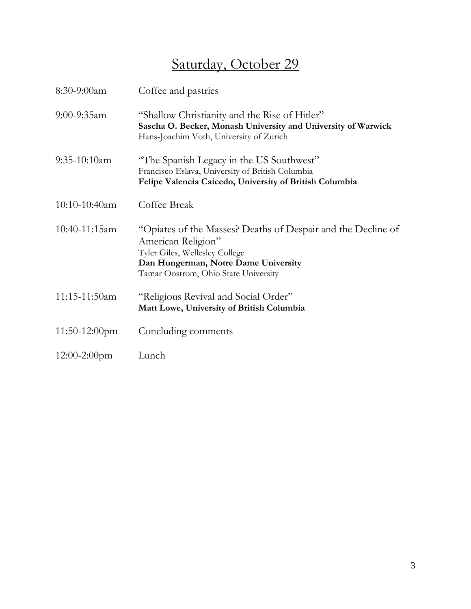### Saturday, October 29

| $8:30-9:00am$    | Coffee and pastries                                                                                                                                                                                  |
|------------------|------------------------------------------------------------------------------------------------------------------------------------------------------------------------------------------------------|
| $9:00 - 9:35$ am | "Shallow Christianity and the Rise of Hitler"<br>Sascha O. Becker, Monash University and University of Warwick<br>Hans-Joachim Voth, University of Zurich                                            |
| $9:35-10:10am$   | "The Spanish Legacy in the US Southwest"<br>Francisco Eslava, University of British Columbia<br>Felipe Valencia Caicedo, University of British Columbia                                              |
| $10:10-10:40$ am | Coffee Break                                                                                                                                                                                         |
| $10:40-11:15am$  | "Opiates of the Masses? Deaths of Despair and the Decline of<br>American Religion"<br>Tyler Giles, Wellesley College<br>Dan Hungerman, Notre Dame University<br>Tamar Oostrom, Ohio State University |
| 11:15-11:50am    | "Religious Revival and Social Order"<br>Matt Lowe, University of British Columbia                                                                                                                    |
| $11:50-12:00$ pm | Concluding comments                                                                                                                                                                                  |
| $12:00-2:00$ pm  | Lunch                                                                                                                                                                                                |